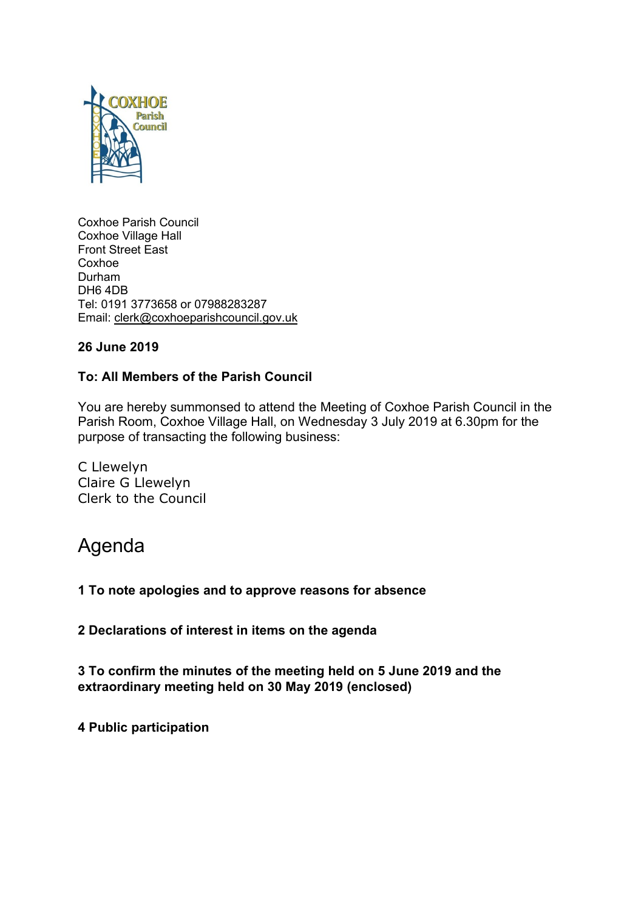

Coxhoe Parish Council Coxhoe Village Hall Front Street East Coxhoe Durham DH6 4DB Tel: 0191 3773658 or 07988283287 Email: [clerk@coxhoeparishcouncil.gov.uk](mailto:clerk@coxhoeparishcouncil.gov.uk)

# **26 June 2019**

# **To: All Members of the Parish Council**

You are hereby summonsed to attend the Meeting of Coxhoe Parish Council in the Parish Room, Coxhoe Village Hall, on Wednesday 3 July 2019 at 6.30pm for the purpose of transacting the following business:

C Llewelyn Claire G Llewelyn Clerk to the Council

# Agenda

**1 To note apologies and to approve reasons for absence**

**2 Declarations of interest in items on the agenda**

**3 To confirm the minutes of the meeting held on 5 June 2019 and the extraordinary meeting held on 30 May 2019 (enclosed)**

**4 Public participation**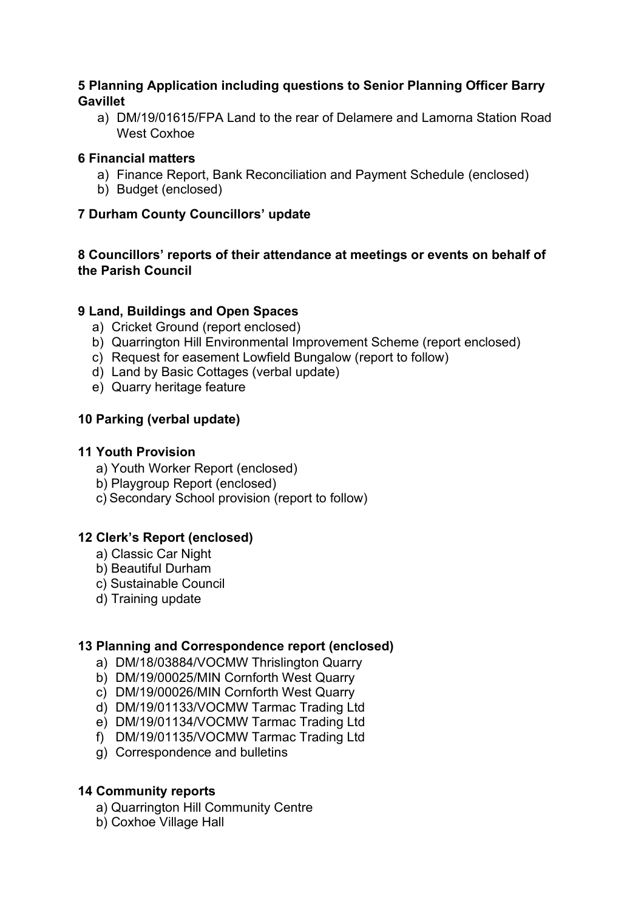# **5 Planning Application including questions to Senior Planning Officer Barry Gavillet**

a) DM/19/01615/FPA Land to the rear of Delamere and Lamorna Station Road West Coxhoe

## **6 Financial matters**

- a) Finance Report, Bank Reconciliation and Payment Schedule (enclosed)
- b) Budget (enclosed)

## **7 Durham County Councillors' update**

# **8 Councillors' reports of their attendance at meetings or events on behalf of the Parish Council**

## **9 Land, Buildings and Open Spaces**

- a) Cricket Ground (report enclosed)
- b) Quarrington Hill Environmental Improvement Scheme (report enclosed)
- c) Request for easement Lowfield Bungalow (report to follow)
- d) Land by Basic Cottages (verbal update)
- e) Quarry heritage feature

## **10 Parking (verbal update)**

## **11 Youth Provision**

- a) Youth Worker Report (enclosed)
- b) Playgroup Report (enclosed)
- c) Secondary School provision (report to follow)

# **12 Clerk's Report (enclosed)**

- a) Classic Car Night
- b) Beautiful Durham
- c) Sustainable Council
- d) Training update

#### **13 Planning and Correspondence report (enclosed)**

- a) DM/18/03884/VOCMW Thrislington Quarry
- b) DM/19/00025/MIN Cornforth West Quarry
- c) DM/19/00026/MIN Cornforth West Quarry
- d) DM/19/01133/VOCMW Tarmac Trading Ltd
- e) DM/19/01134/VOCMW Tarmac Trading Ltd
- f) DM/19/01135/VOCMW Tarmac Trading Ltd
- g) Correspondence and bulletins

#### **14 Community reports**

- a) Quarrington Hill Community Centre
- b) Coxhoe Village Hall